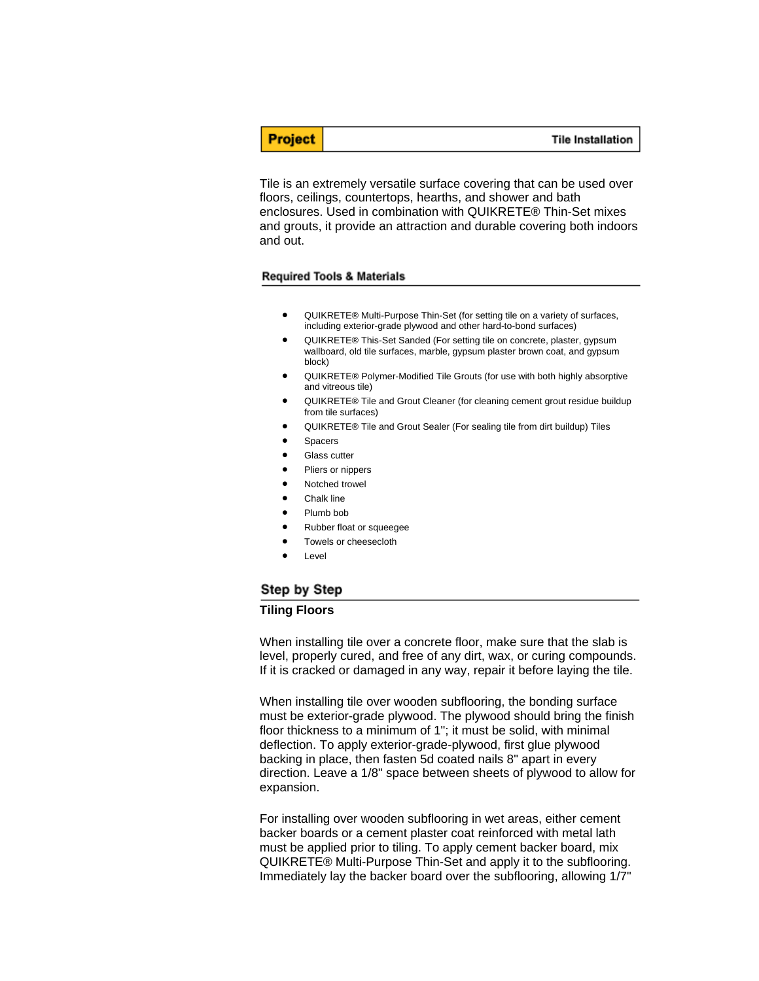**Tile Installation** 

Tile is an extremely versatile surface covering that can be used over floors, ceilings, countertops, hearths, and shower and bath enclosures. Used in combination with QUIKRETE® Thin-Set mixes and grouts, it provide an attraction and durable covering both indoors and out.

#### **Required Tools & Materials**

**Project** 

- QUIKRETE® Multi-Purpose Thin-Set (for setting tile on a variety of surfaces, including exterior-grade plywood and other hard-to-bond surfaces)
- QUIKRETE® This-Set Sanded (For setting tile on concrete, plaster, gypsum wallboard, old tile surfaces, marble, gypsum plaster brown coat, and gypsum block)
- QUIKRETE® Polymer-Modified Tile Grouts (for use with both highly absorptive and vitreous tile)
- QUIKRETE® Tile and Grout Cleaner (for cleaning cement grout residue buildup from tile surfaces)
- QUIKRETE® Tile and Grout Sealer (For sealing tile from dirt buildup) Tiles
- Spacers
- Glass cutter
- Pliers or nippers
- Notched trowel
- Chalk line
- Plumb bob
- Rubber float or squeegee
- Towels or cheesecloth
- **Level**

## Step by Step

#### **Tiling Floors**

When installing tile over a concrete floor, make sure that the slab is level, properly cured, and free of any dirt, wax, or curing compounds. If it is cracked or damaged in any way, repair it before laying the tile.

When installing tile over wooden subflooring, the bonding surface must be exterior-grade plywood. The plywood should bring the finish floor thickness to a minimum of 1"; it must be solid, with minimal deflection. To apply exterior-grade-plywood, first glue plywood backing in place, then fasten 5d coated nails 8" apart in every direction. Leave a 1/8" space between sheets of plywood to allow for expansion.

For installing over wooden subflooring in wet areas, either cement backer boards or a cement plaster coat reinforced with metal lath must be applied prior to tiling. To apply cement backer board, mix QUIKRETE® Multi-Purpose Thin-Set and apply it to the subflooring. Immediately lay the backer board over the subflooring, allowing 1/7"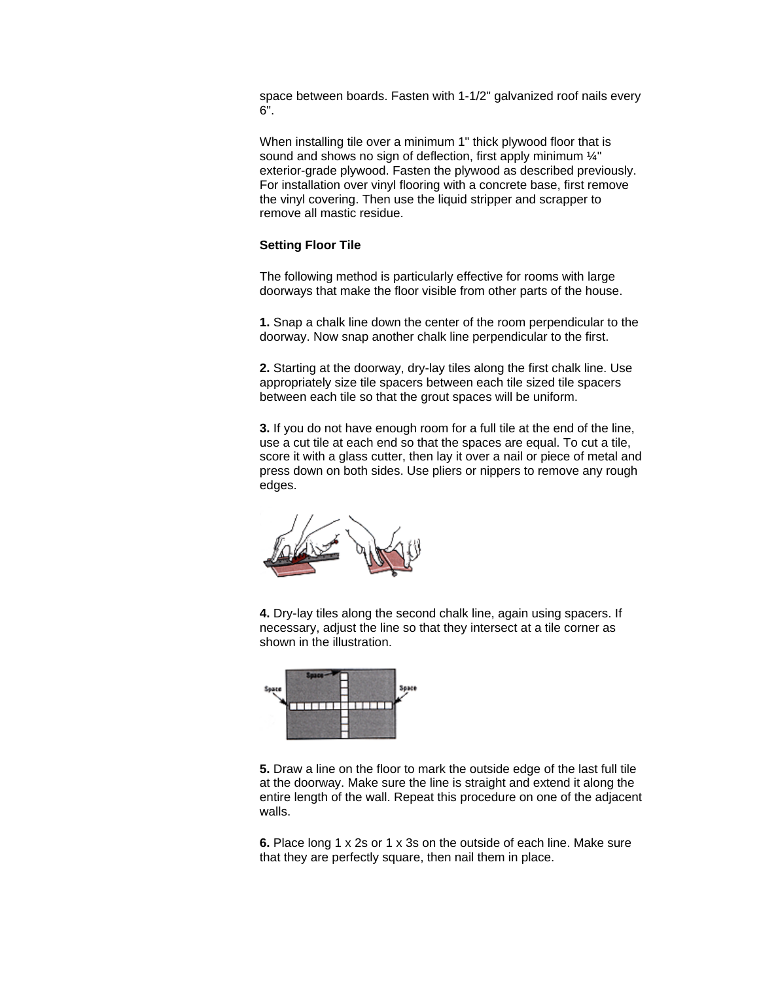space between boards. Fasten with 1-1/2" galvanized roof nails every 6".

When installing tile over a minimum 1" thick plywood floor that is sound and shows no sign of deflection, first apply minimum  $\frac{1}{4}$ " exterior-grade plywood. Fasten the plywood as described previously. For installation over vinyl flooring with a concrete base, first remove the vinyl covering. Then use the liquid stripper and scrapper to remove all mastic residue.

## **Setting Floor Tile**

The following method is particularly effective for rooms with large doorways that make the floor visible from other parts of the house.

**1.** Snap a chalk line down the center of the room perpendicular to the doorway. Now snap another chalk line perpendicular to the first.

**2.** Starting at the doorway, dry-lay tiles along the first chalk line. Use appropriately size tile spacers between each tile sized tile spacers between each tile so that the grout spaces will be uniform.

**3.** If you do not have enough room for a full tile at the end of the line, use a cut tile at each end so that the spaces are equal. To cut a tile, score it with a glass cutter, then lay it over a nail or piece of metal and press down on both sides. Use pliers or nippers to remove any rough edges.



**4.** Dry-lay tiles along the second chalk line, again using spacers. If necessary, adjust the line so that they intersect at a tile corner as shown in the illustration.



**5.** Draw a line on the floor to mark the outside edge of the last full tile at the doorway. Make sure the line is straight and extend it along the entire length of the wall. Repeat this procedure on one of the adjacent walls.

**6.** Place long 1 x 2s or 1 x 3s on the outside of each line. Make sure that they are perfectly square, then nail them in place.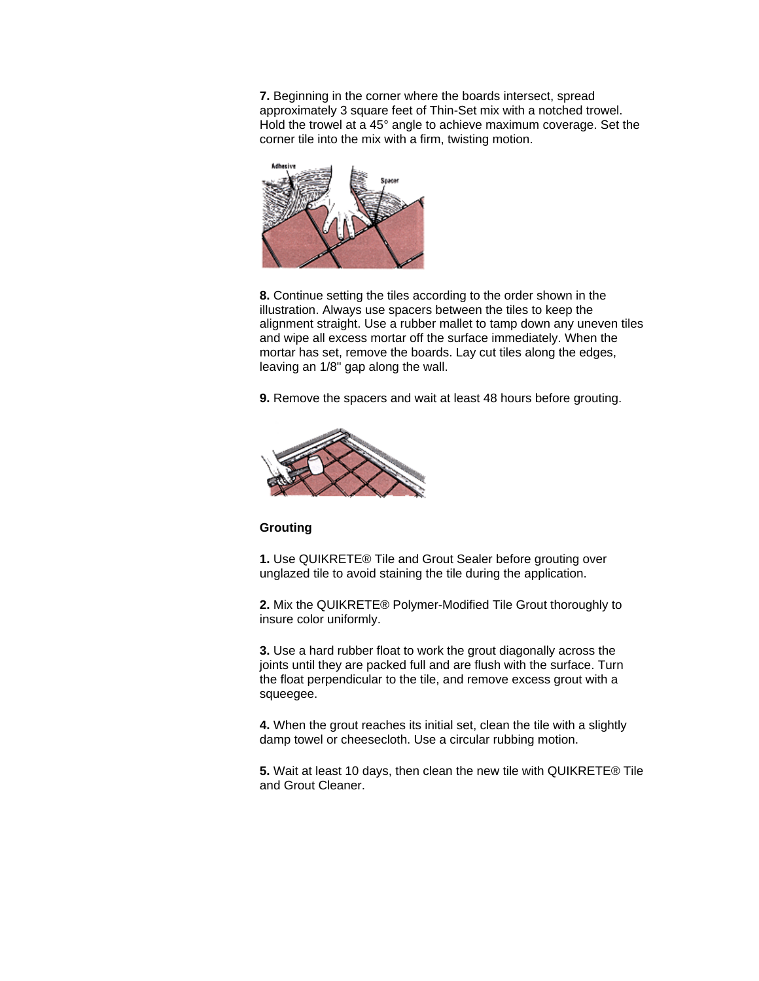**7.** Beginning in the corner where the boards intersect, spread approximately 3 square feet of Thin-Set mix with a notched trowel. Hold the trowel at a 45° angle to achieve maximum coverage. Set the corner tile into the mix with a firm, twisting motion.



**8.** Continue setting the tiles according to the order shown in the illustration. Always use spacers between the tiles to keep the alignment straight. Use a rubber mallet to tamp down any uneven tiles and wipe all excess mortar off the surface immediately. When the mortar has set, remove the boards. Lay cut tiles along the edges, leaving an 1/8" gap along the wall.

**9.** Remove the spacers and wait at least 48 hours before grouting.



## **Grouting**

**1.** Use QUIKRETE® Tile and Grout Sealer before grouting over unglazed tile to avoid staining the tile during the application.

**2.** Mix the QUIKRETE® Polymer-Modified Tile Grout thoroughly to insure color uniformly.

**3.** Use a hard rubber float to work the grout diagonally across the joints until they are packed full and are flush with the surface. Turn the float perpendicular to the tile, and remove excess grout with a squeegee.

**4.** When the grout reaches its initial set, clean the tile with a slightly damp towel or cheesecloth. Use a circular rubbing motion.

**5.** Wait at least 10 days, then clean the new tile with QUIKRETE® Tile and Grout Cleaner.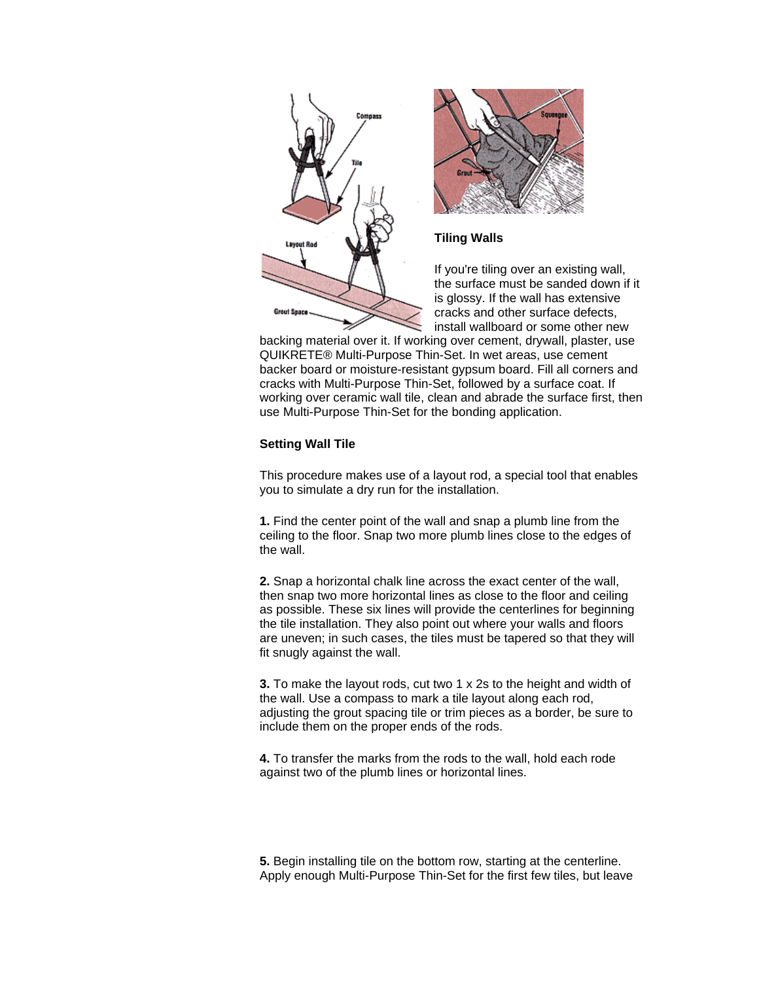

backing material over it. If working over cement, drywall, plaster, use QUIKRETE® Multi-Purpose Thin-Set. In wet areas, use cement backer board or moisture-resistant gypsum board. Fill all corners and cracks with Multi-Purpose Thin-Set, followed by a surface coat. If working over ceramic wall tile, clean and abrade the surface first, then use Multi-Purpose Thin-Set for the bonding application.

# **Setting Wall Tile**

This procedure makes use of a layout rod, a special tool that enables you to simulate a dry run for the installation.

**1.** Find the center point of the wall and snap a plumb line from the ceiling to the floor. Snap two more plumb lines close to the edges of the wall.

**2.** Snap a horizontal chalk line across the exact center of the wall, then snap two more horizontal lines as close to the floor and ceiling as possible. These six lines will provide the centerlines for beginning the tile installation. They also point out where your walls and floors are uneven; in such cases, the tiles must be tapered so that they will fit snugly against the wall.

**3.** To make the layout rods, cut two 1 x 2s to the height and width of the wall. Use a compass to mark a tile layout along each rod, adjusting the grout spacing tile or trim pieces as a border, be sure to include them on the proper ends of the rods.

**4.** To transfer the marks from the rods to the wall, hold each rode against two of the plumb lines or horizontal lines.

**5.** Begin installing tile on the bottom row, starting at the centerline. Apply enough Multi-Purpose Thin-Set for the first few tiles, but leave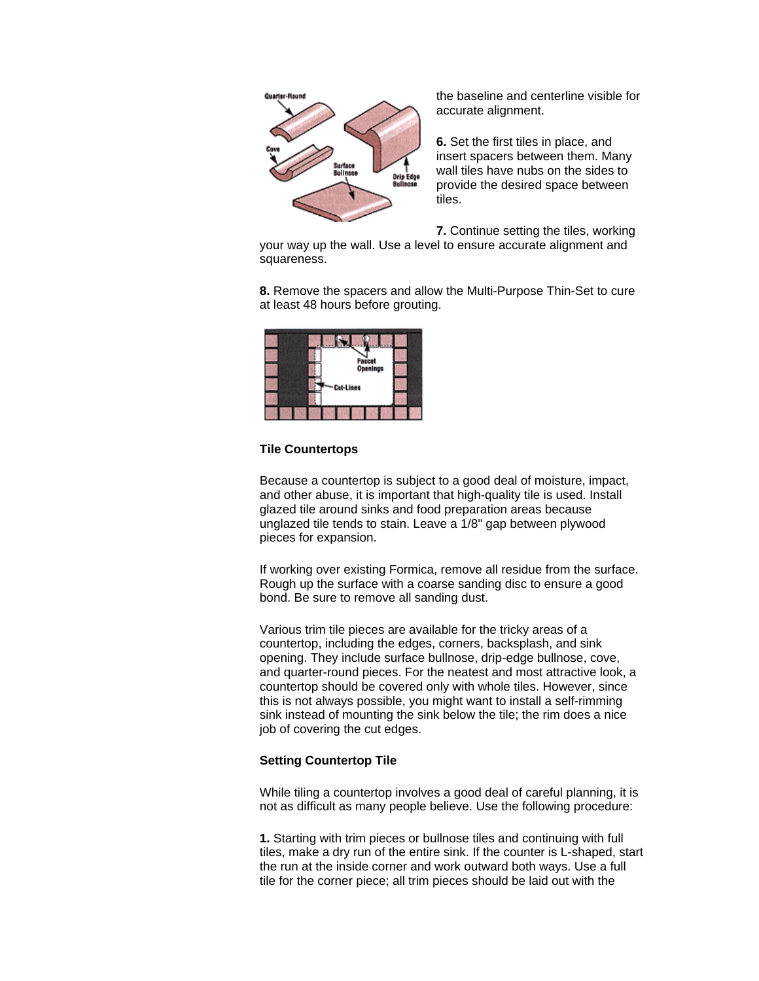

the baseline and centerline visible for accurate alignment.

**6.** Set the first tiles in place, and insert spacers between them. Many wall tiles have nubs on the sides to provide the desired space between tiles.

**7.** Continue setting the tiles, working

your way up the wall. Use a level to ensure accurate alignment and squareness.

**8.** Remove the spacers and allow the Multi-Purpose Thin-Set to cure at least 48 hours before grouting.



#### **Tile Countertops**

Because a countertop is subject to a good deal of moisture, impact, and other abuse, it is important that high-quality tile is used. Install glazed tile around sinks and food preparation areas because unglazed tile tends to stain. Leave a 1/8" gap between plywood pieces for expansion.

If working over existing Formica, remove all residue from the surface. Rough up the surface with a coarse sanding disc to ensure a good bond. Be sure to remove all sanding dust.

Various trim tile pieces are available for the tricky areas of a countertop, including the edges, corners, backsplash, and sink opening. They include surface bullnose, drip-edge bullnose, cove, and quarter-round pieces. For the neatest and most attractive look, a countertop should be covered only with whole tiles. However, since this is not always possible, you might want to install a self-rimming sink instead of mounting the sink below the tile; the rim does a nice job of covering the cut edges.

## **Setting Countertop Tile**

While tiling a countertop involves a good deal of careful planning, it is not as difficult as many people believe. Use the following procedure:

**1.** Starting with trim pieces or bullnose tiles and continuing with full tiles, make a dry run of the entire sink. If the counter is L-shaped, start the run at the inside corner and work outward both ways. Use a full tile for the corner piece; all trim pieces should be laid out with the